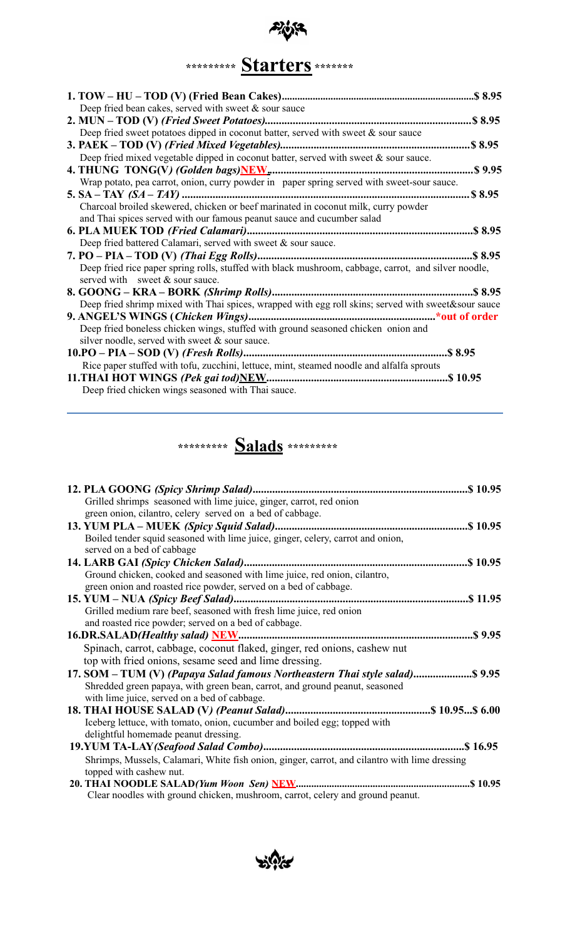# 砂 **\*\*\*\*\*\*\*\*\* Starters \*\*\*\*\*\*\***

| Deep fried bean cakes, served with sweet $\&$ sour sauce                                                                                                     |  |
|--------------------------------------------------------------------------------------------------------------------------------------------------------------|--|
|                                                                                                                                                              |  |
| Deep fried sweet potatoes dipped in coconut batter, served with sweet $\&$ sour sauce                                                                        |  |
|                                                                                                                                                              |  |
| Deep fried mixed vegetable dipped in coconut batter, served with sweet $\&$ sour sauce.                                                                      |  |
|                                                                                                                                                              |  |
| Wrap potato, pea carrot, onion, curry powder in paper spring served with sweet-sour sauce.                                                                   |  |
|                                                                                                                                                              |  |
| Charcoal broiled skewered, chicken or beef marinated in coconut milk, curry powder<br>and Thai spices served with our famous peanut sauce and cucumber salad |  |
|                                                                                                                                                              |  |
| Deep fried battered Calamari, served with sweet $\&$ sour sauce.                                                                                             |  |
|                                                                                                                                                              |  |
| Deep fried rice paper spring rolls, stuffed with black mushroom, cabbage, carrot, and silver noodle,<br>served with sweet & sour sauce.                      |  |
|                                                                                                                                                              |  |
| Deep fried shrimp mixed with Thai spices, wrapped with egg roll skins; served with sweet&sour sauce                                                          |  |
|                                                                                                                                                              |  |
| Deep fried boneless chicken wings, stuffed with ground seasoned chicken onion and                                                                            |  |
| silver noodle, served with sweet $\&$ sour sauce.                                                                                                            |  |
|                                                                                                                                                              |  |
| Rice paper stuffed with tofu, zucchini, lettuce, mint, steamed noodle and alfalfa sprouts                                                                    |  |
|                                                                                                                                                              |  |
| Deep fried chicken wings seasoned with Thai sauce.                                                                                                           |  |



| Grilled shrimps seasoned with lime juice, ginger, carrot, red onion                           |  |
|-----------------------------------------------------------------------------------------------|--|
| green onion, cilantro, celery served on a bed of cabbage.                                     |  |
|                                                                                               |  |
| Boiled tender squid seasoned with lime juice, ginger, celery, carrot and onion,               |  |
| served on a bed of cabbage                                                                    |  |
|                                                                                               |  |
| Ground chicken, cooked and seasoned with lime juice, red onion, cilantro,                     |  |
| green onion and roasted rice powder, served on a bed of cabbage.                              |  |
|                                                                                               |  |
| Grilled medium rare beef, seasoned with fresh lime juice, red onion                           |  |
| and roasted rice powder; served on a bed of cabbage.                                          |  |
|                                                                                               |  |
| Spinach, carrot, cabbage, coconut flaked, ginger, red onions, cashew nut                      |  |
| top with fried onions, sesame seed and lime dressing.                                         |  |
| 17. SOM – TUM (V) (Papaya Salad famous Northeastern Thai style salad) \$ 9.95                 |  |
| Shredded green papaya, with green bean, carrot, and ground peanut, seasoned                   |  |
| with lime juice, served on a bed of cabbage.                                                  |  |
|                                                                                               |  |
| Iceberg lettuce, with tomato, onion, cucumber and boiled egg; topped with                     |  |
| delightful homemade peanut dressing.                                                          |  |
|                                                                                               |  |
| Shrimps, Mussels, Calamari, White fish onion, ginger, carrot, and cilantro with lime dressing |  |
| topped with cashew nut.                                                                       |  |
|                                                                                               |  |
| Clear noodles with ground chicken, mushroom, carrot, celery and ground peanut.                |  |

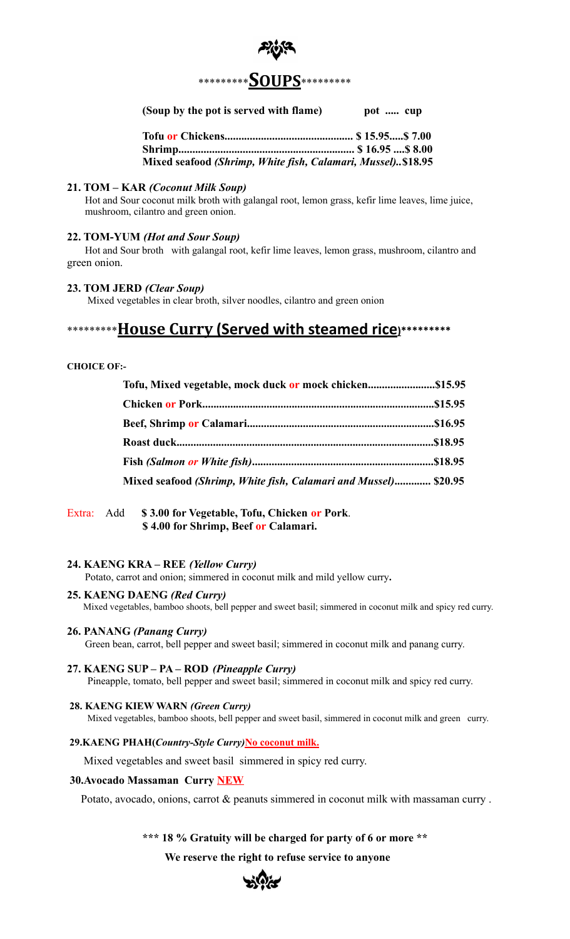

# **(Soup by the pot is served with flame)** pot ..... cup

| Mixed seafood (Shrimp, White fish, Calamari, Mussel)\$18.95 |  |
|-------------------------------------------------------------|--|

# **21. TOM – KAR** *(Coconut Milk Soup)*

Hot and Sour coconut milk broth with galangal root, lemon grass, kefir lime leaves, lime juice, mushroom, cilantro and green onion.

# **22. TOM-YUM** *(Hot and Sour Soup)*

Hot and Sour broth with galangal root, kefir lime leaves, lemon grass, mushroom, cilantro and green onion.

# **23. TOM JERD** *(Clear Soup)*

Mixed vegetables in clear broth, silver noodles, cilantro and green onion

# \*\*\*\*\*\*\*\*\***House Curry (Served with steamed rice)\*\*\*\*\*\*\*\*\***

# **CHOICE OF:-**

| Mixed seafood (Shrimp, White fish, Calamari and Mussel) \$20.95 |  |
|-----------------------------------------------------------------|--|

Extra: Add **\$ 3.00 for Vegetable, Tofu, Chicken or Pork**. **\$ 4.00 for Shrimp, Beef or Calamari.**

# **24. KAENG KRA – REE** *(Yellow Curry)*

Potato, carrot and onion; simmered in coconut milk and mild yellow curry**.**

### **25. KAENG DAENG** *(Red Curry)*

Mixed vegetables, bamboo shoots, bell pepper and sweet basil; simmered in coconut milk and spicy red curry.

### **26. PANANG** *(Panang Curry)*

Green bean, carrot, bell pepper and sweet basil; simmered in coconut milk and panang curry.

### **27. KAENG SUP – PA – ROD** *(Pineapple Curry)*

Pineapple, tomato, bell pepper and sweet basil; simmered in coconut milk and spicy red curry.

# **28. KAENG KIEW WARN** *(Green Curry)* Mixed vegetables, bamboo shoots, bell pepper and sweet basil, simmered in coconut milk and green curry.

### **29.KAENG PHAH(***Country-Style Curry)***No coconut milk.**

Mixed vegetables and sweet basil simmered in spicy red curry.

# **30.Avocado Massaman Curry NEW**

Potato, avocado, onions, carrot & peanuts simmered in coconut milk with massaman curry .

# **\*\*\* 18 % Gratuity will be charged for party of 6 or more \*\***

**We reserve the right to refuse service to anyone**

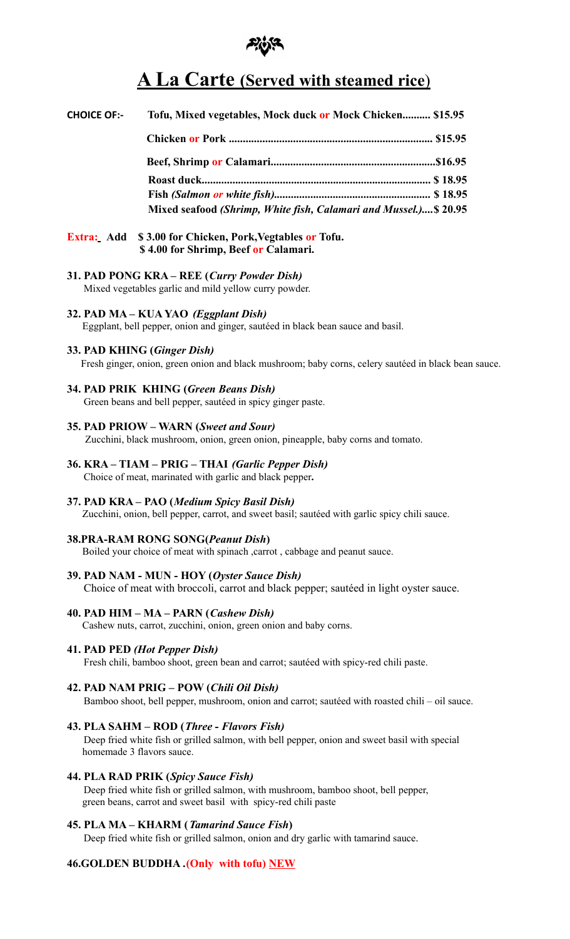

# **A La Carte (Served with steamed rice**)

| <b>CHOICE OF:-</b> | Tofu, Mixed vegetables, Mock duck or Mock Chicken \$15.95        |
|--------------------|------------------------------------------------------------------|
|                    |                                                                  |
|                    |                                                                  |
|                    |                                                                  |
|                    |                                                                  |
|                    | Mixed seafood (Shrimp, White fish, Calamari and Mussel.) \$20.95 |

- **Extra: Add \$ 3.00 for Chicken, Pork,Vegtables or Tofu. \$ 4.00 for Shrimp, Beef or Calamari.**
- **31. PAD PONG KRA REE (***Curry Powder Dish)* Mixed vegetables garlic and mild yellow curry powder.
- **32. PAD MA KUA YAO** *(Eggplant Dish)* Eggplant, bell pepper, onion and ginger, sautéed in black bean sauce and basil.
- **33. PAD KHING (***Ginger Dish)*

Fresh ginger, onion, green onion and black mushroom; baby corns, celery sautéed in black bean sauce.

**34. PAD PRIK KHING (***Green Beans Dish)*

Green beans and bell pepper, sautéed in spicy ginger paste.

- **35. PAD PRIOW WARN (***Sweet and Sour)*
	- Zucchini, black mushroom, onion, green onion, pineapple, baby corns and tomato.
- **36. KRA TIAM PRIG THAI** *(Garlic Pepper Dish)* Choice of meat, marinated with garlic and black pepper**.**
- **37. PAD KRA PAO (***Medium Spicy Basil Dish)* Zucchini, onion, bell pepper, carrot, and sweet basil; sautéed with garlic spicy chili sauce.
- 
- **38.PRA-RAM RONG SONG(***Peanut Dish***)**

Boiled your choice of meat with spinach ,carrot , cabbage and peanut sauce.

**39. PAD NAM - MUN - HOY (***Oyster Sauce Dish)*

Choice of meat with broccoli, carrot and black pepper; sautéed in light oyster sauce.

**40. PAD HIM – MA – PARN (***Cashew Dish)*

Cashew nuts, carrot, zucchini, onion, green onion and baby corns.

# **41. PAD PED** *(Hot Pepper Dish)*

Fresh chili, bamboo shoot, green bean and carrot; sautéed with spicy-red chili paste.

# **42. PAD NAM PRIG – POW (***Chili Oil Dish)*

Bamboo shoot, bell pepper, mushroom, onion and carrot; sautéed with roasted chili – oil sauce.

# **43. PLA SAHM – ROD (***Three - Flavors Fish)*

Deep fried white fish or grilled salmon, with bell pepper, onion and sweet basil with special homemade 3 flavors sauce.

### **44. PLA RAD PRIK (***Spicy Sauce Fish)*

Deep fried white fish or grilled salmon, with mushroom, bamboo shoot, bell pepper, green beans, carrot and sweet basil with spicy-red chili paste

# **45. PLA MA – KHARM (***Tamarind Sauce Fish***)**

Deep fried white fish or grilled salmon, onion and dry garlic with tamarind sauce.

# **46.GOLDEN BUDDHA .(Only with tofu) NEW**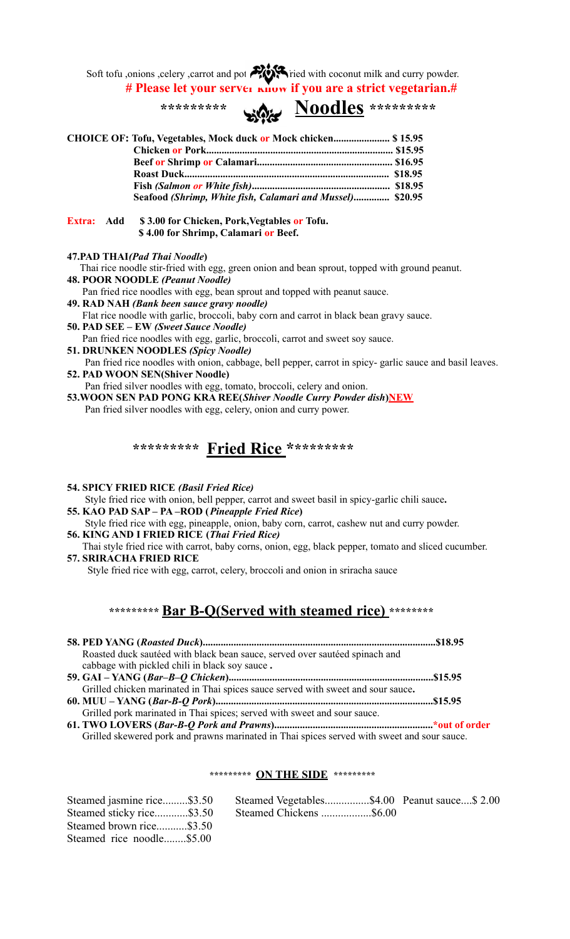Soft tofu ,onions , celery , carrot and pot  $\sim$  ried with coconut milk and curry powder. **# Please let your server know if you are a strict vegetarian.#**

**\*\*\*\*\*\*\*\*\* Noodles \*\*\*\*\*\*\*\*\* CHOICE OF: Tofu, Vegetables, Mock duck or Mock chicken...................... \$ 15.95 Chicken or Pork......................................................................... \$15.95 Beef or Shrimp or Calamari..................................................... \$16.95 Roast Duck................................................................................ \$18.95 Fish** *(Salmon or White fish)***...................................................... \$18.95 Seafood** *(Shrimp, White fish, Calamari and Mussel)***.............. \$20.95**

- **Extra: Add \$ 3.00 for Chicken, Pork,Vegtables or Tofu. \$ 4.00 for Shrimp, Calamari or Beef.**
- **47.PAD THAI***(Pad Thai Noodle***)**
- Thai rice noodle stir-fried with egg, green onion and bean sprout, topped with ground peanut.
- **48. POOR NOODLE** *(Peanut Noodle)*

Pan fried rice noodles with egg, bean sprout and topped with peanut sauce.

- **49. RAD NAH** *(Bank been sauce gravy noodle)*
- Flat rice noodle with garlic, broccoli, baby corn and carrot in black bean gravy sauce.
- **50. PAD SEE – EW** *(Sweet Sauce Noodle)*
- Pan fried rice noodles with egg, garlic, broccoli, carrot and sweet soy sauce. **51. DRUNKEN NOODLES** *(Spicy Noodle)*
- Pan fried rice noodles with onion, cabbage, bell pepper, carrot in spicy- garlic sauce and basil leaves. **52. PAD WOON SEN(Shiver Noodle)**
- Pan fried silver noodles with egg, tomato, broccoli, celery and onion.

**53.WOON SEN PAD PONG KRA REE(***Shiver Noodle Curry Powder dish***)NEW** Pan fried silver noodles with egg, celery, onion and curry power.

# **\*\*\*\*\*\*\*\*\* Fried Rice \*\*\*\*\*\*\*\*\***

**54. SPICY FRIED RICE** *(Basil Fried Rice)*

Style fried rice with onion, bell pepper, carrot and sweet basil in spicy-garlic chili sauce**. 55. KAO PAD SAP – PA –ROD (***Pineapple Fried Rice***)**

- Style fried rice with egg, pineapple, onion, baby corn, carrot, cashew nut and curry powder. **56. KING AND I FRIED RICE (***Thai Fried Rice)*
- Thai style fried rice with carrot, baby corns, onion, egg, black pepper, tomato and sliced cucumber. **57. SRIRACHA FRIED RICE**

Style fried rice with egg, carrot, celery, broccoli and onion in sriracha sauce

# **\*\*\*\*\*\*\*\*\* Bar B-Q(Served with steamed rice) \*\*\*\*\*\*\*\***

| Roasted duck sautéed with black bean sauce, served over sautéed spinach and      |  |
|----------------------------------------------------------------------------------|--|
| cabbage with pickled chili in black soy sauce.                                   |  |
|                                                                                  |  |
| Grilled chicken marinated in Thai spices sauce served with sweet and sour sauce. |  |
|                                                                                  |  |
| Grilled pork marinated in Thai spices; served with sweet and sour sauce.         |  |
|                                                                                  |  |

Grilled skewered pork and prawns marinated in Thai spices served with sweet and sour sauce.

# **\*\*\*\*\*\*\*\*\* ON THE SIDE \*\*\*\*\*\*\*\*\***

| Steamed jasmine rice\$3.50 | Steamed Vegetables\$4.00 Peanut sauce\$ 2.00 |  |  |
|----------------------------|----------------------------------------------|--|--|
| Steamed sticky rice\$3.50  |                                              |  |  |
| Steamed brown rice\$3.50   |                                              |  |  |
| Steamed rice noodle\$5.00  |                                              |  |  |